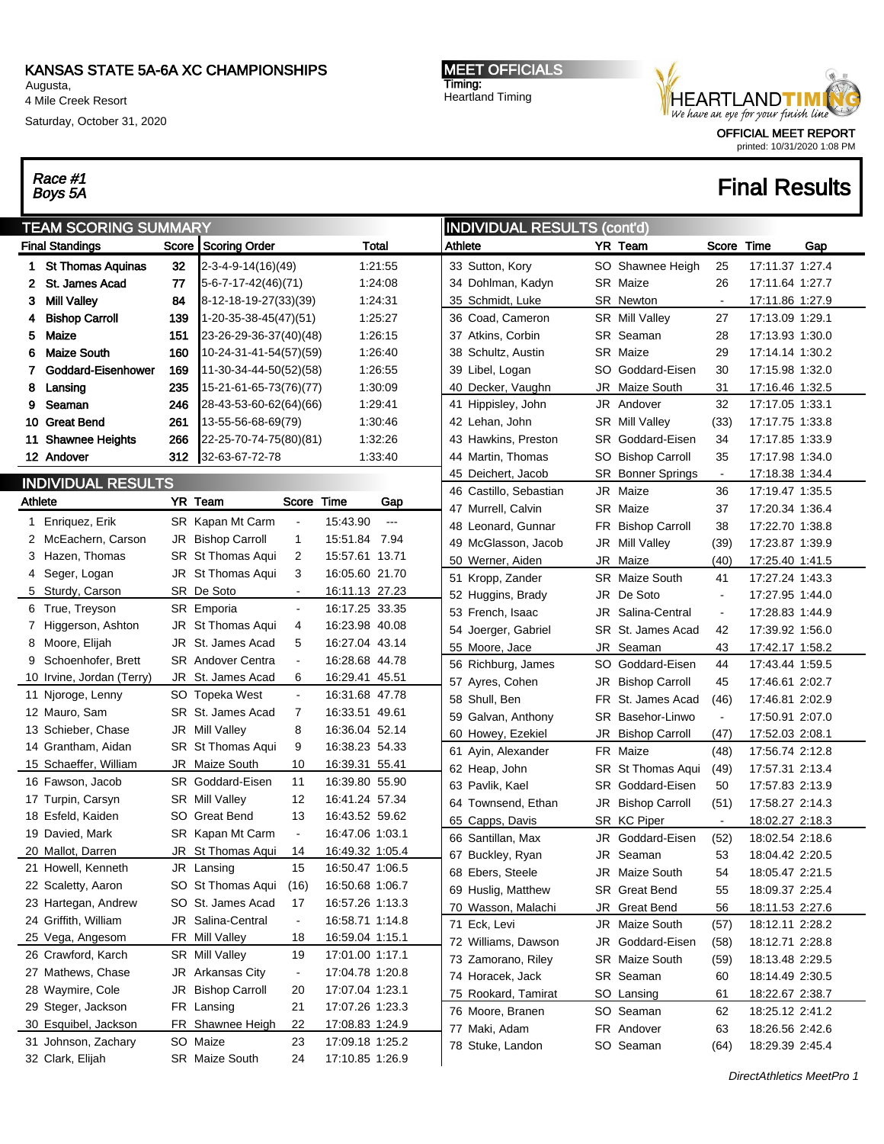Augusta, 4 Mile Creek Resort

Saturday, October 31, 2020

# Race #1<br>Boys 5A

MEET OFFICIALS Timing: Heartland Timing



printed: 10/31/2020 1:08 PM

|                | <b>TEAM SCORING SUMMARY</b>                 |     |                              |                |                                    |                | <b>INDIVIDUAL RESULTS (cont'd)</b> |                        |           |                       |                |                 |     |
|----------------|---------------------------------------------|-----|------------------------------|----------------|------------------------------------|----------------|------------------------------------|------------------------|-----------|-----------------------|----------------|-----------------|-----|
|                | <b>Final Standings</b>                      |     | Score Scoring Order          |                |                                    | Total          | Athlete                            |                        |           | YR Team               | Score          | Time            | Gap |
|                | 1 St Thomas Aquinas                         | 32  | 2-3-4-9-14(16)(49)           |                |                                    | 1:21:55        |                                    | 33 Sutton, Kory        |           | SO Shawnee Heigh      | 25             | 17:11.37 1:27.4 |     |
| 2              | St. James Acad                              | 77  | $5-6-7-17-42(46)(71)$        |                |                                    | 1:24:08        |                                    | 34 Dohlman, Kadyn      |           | SR Maize              | 26             | 17:11.64 1:27.7 |     |
| 3.             | <b>Mill Valley</b>                          | 84  | 8-12-18-19-27(33)(39)        |                |                                    | 1:24:31        |                                    | 35 Schmidt, Luke       |           | SR Newton             | $\blacksquare$ | 17:11.86 1:27.9 |     |
| 4              | <b>Bishop Carroll</b>                       | 139 | 1-20-35-38-45(47)(51)        |                |                                    | 1:25:27        |                                    | 36 Coad, Cameron       |           | SR Mill Valley        | 27             | 17:13.09 1:29.1 |     |
| 5.             | Maize                                       | 151 | 23-26-29-36-37(40)(48)       |                |                                    | 1:26:15        |                                    | 37 Atkins, Corbin      |           | SR Seaman             | 28             | 17:13.93 1:30.0 |     |
| 6              | <b>Maize South</b>                          | 160 | 10-24-31-41-54(57)(59)       |                |                                    | 1:26:40        |                                    | 38 Schultz, Austin     | SR        | Maize                 | 29             | 17:14.14 1:30.2 |     |
| 7.             | Goddard-Eisenhower                          | 169 | 11-30-34-44-50(52)(58)       |                |                                    | 1:26:55        |                                    | 39 Libel, Logan        | SO        | Goddard-Eisen         | 30             | 17:15.98 1:32.0 |     |
| 8              | Lansing                                     | 235 | 15-21-61-65-73(76)(77)       |                |                                    | 1:30:09        |                                    | 40 Decker, Vaughn      | JR        | Maize South           | 31             | 17:16.46 1:32.5 |     |
| 9              | Seaman                                      | 246 | 28-43-53-60-62(64)(66)       |                |                                    | 1:29:41        |                                    | 41 Hippisley, John     | JR        | Andover               | 32             | 17:17.05 1:33.1 |     |
|                | 10 Great Bend                               | 261 | 13-55-56-68-69(79)           |                |                                    | 1:30:46        |                                    | 42 Lehan, John         |           | SR Mill Valley        | (33)           | 17:17.75 1:33.8 |     |
|                | 11 Shawnee Heights                          | 266 | 22-25-70-74-75(80)(81)       |                |                                    | 1:32:26        |                                    | 43 Hawkins, Preston    | SR.       | Goddard-Eisen         | 34             | 17:17.85 1:33.9 |     |
|                | 12 Andover                                  | 312 | 32-63-67-72-78               |                |                                    | 1:33:40        |                                    | 44 Martin, Thomas      | SO        | <b>Bishop Carroll</b> | 35             | 17:17.98 1:34.0 |     |
|                | <b>INDIVIDUAL RESULTS</b>                   |     |                              |                |                                    |                |                                    | 45 Deichert, Jacob     | SR        | <b>Bonner Springs</b> | $\blacksquare$ | 17:18.38 1:34.4 |     |
|                |                                             |     |                              |                |                                    |                |                                    | 46 Castillo, Sebastian | JR.       | Maize                 | 36             | 17:19.47 1:35.5 |     |
| <b>Athlete</b> |                                             |     | YR Team                      | Score Time     |                                    | Gap            |                                    | 47 Murrell, Calvin     | SR        | Maize                 | 37             | 17:20.34 1:36.4 |     |
|                | 1 Enriquez, Erik                            |     | SR Kapan Mt Carm             |                | 15:43.90                           | $\overline{a}$ |                                    | 48 Leonard, Gunnar     | FR        | <b>Bishop Carroll</b> | 38             | 17:22.70 1:38.8 |     |
|                | 2 McEachern, Carson                         |     | JR Bishop Carroll            | $\mathbf 1$    | 15:51.84 7.94                      |                |                                    | 49 McGlasson, Jacob    | JR        | <b>Mill Valley</b>    | (39)           | 17:23.87 1:39.9 |     |
|                | 3 Hazen, Thomas                             |     | <b>SR St Thomas Aqui</b>     | $\overline{2}$ | 15:57.61 13.71                     |                |                                    | 50 Werner, Aiden       | JR        | Maize                 | (40)           | 17:25.40 1:41.5 |     |
|                | 4 Seger, Logan                              |     | JR St Thomas Aqui            | 3              | 16:05.60 21.70                     |                |                                    | 51 Kropp, Zander       |           | SR Maize South        | 41             | 17:27.24 1:43.3 |     |
|                | 5 Sturdy, Carson                            |     | SR De Soto                   | $\blacksquare$ | 16:11.13 27.23                     |                |                                    | 52 Huggins, Brady      | JR        | De Soto               | $\blacksquare$ | 17:27.95 1:44.0 |     |
|                | 6 True, Treyson                             |     | SR Emporia                   | $\blacksquare$ | 16:17.25 33.35                     |                |                                    | 53 French, Isaac       | JR        | Salina-Central        | $\blacksquare$ | 17:28.83 1:44.9 |     |
|                | 7 Higgerson, Ashton                         |     | JR St Thomas Aqui            | 4              | 16:23.98 40.08                     |                |                                    | 54 Joerger, Gabriel    | SR        | St. James Acad        | 42             | 17:39.92 1:56.0 |     |
|                | 8 Moore, Elijah                             |     | JR St. James Acad            | 5              | 16:27.04 43.14                     |                |                                    | 55 Moore, Jace         | JR        | Seaman                | 43             | 17:42.17 1:58.2 |     |
|                | 9 Schoenhofer, Brett                        |     | <b>SR</b> Andover Centra     | $\blacksquare$ | 16:28.68 44.78                     |                |                                    | 56 Richburg, James     | SO        | Goddard-Eisen         | 44             | 17:43.44 1:59.5 |     |
|                | 10 Irvine, Jordan (Terry)                   |     | JR St. James Acad            | 6              | 16:29.41 45.51                     |                |                                    | 57 Ayres, Cohen        | JR        | <b>Bishop Carroll</b> | 45             | 17:46.61 2:02.7 |     |
|                | 11 Njoroge, Lenny                           |     | SO Topeka West               | $\blacksquare$ | 16:31.68 47.78                     |                |                                    | 58 Shull, Ben          | <b>FR</b> | St. James Acad        | (46)           | 17:46.81 2:02.9 |     |
|                | 12 Mauro, Sam                               |     | SR St. James Acad            | 7              | 16:33.51 49.61                     |                |                                    | 59 Galvan, Anthony     | SR        | Basehor-Linwo         | $\blacksquare$ | 17:50.91 2:07.0 |     |
|                | 13 Schieber, Chase                          |     | JR Mill Valley               | 8              | 16:36.04 52.14                     |                |                                    | 60 Howey, Ezekiel      | JR        | <b>Bishop Carroll</b> | (47)           | 17:52.03 2:08.1 |     |
|                | 14 Grantham, Aidan                          |     | SR St Thomas Aqui            | 9              | 16:38.23 54.33                     |                |                                    | 61 Ayin, Alexander     | <b>FR</b> | Maize                 | (48)           | 17:56.74 2:12.8 |     |
|                | 15 Schaeffer, William                       |     | JR Maize South               | 10             | 16:39.31 55.41                     |                |                                    | 62 Heap, John          | SR        | St Thomas Aqui        | (49)           | 17:57.31 2:13.4 |     |
|                | 16 Fawson, Jacob                            |     | SR Goddard-Eisen             | 11             | 16:39.80 55.90                     |                |                                    | 63 Pavlik, Kael        | <b>SR</b> | Goddard-Eisen         | 50             | 17:57.83 2:13.9 |     |
|                | 17 Turpin, Carsyn                           |     | SR Mill Valley               | 12             | 16:41.24 57.34                     |                |                                    | 64 Townsend, Ethan     | JR        | <b>Bishop Carroll</b> | (51)           | 17:58.27 2:14.3 |     |
|                | 18 Esfeld, Kaiden                           |     | SO Great Bend                | 13             | 16:43.52 59.62                     |                |                                    | 65 Capps, Davis        |           | SR KC Piper           | $\blacksquare$ | 18:02.27 2:18.3 |     |
|                | 19 Davied, Mark                             |     | SR Kapan Mt Carm             | $\blacksquare$ | 16:47.06 1:03.1                    |                |                                    | 66 Santillan, Max      | JR        | Goddard-Eisen         | (52)           | 18:02.54 2:18.6 |     |
|                | 20 Mallot, Darren                           |     | JR St Thomas Aqui            | 14             | 16:49.32 1:05.4                    |                |                                    | 67 Buckley, Ryan       |           | JR Seaman             | 53             | 18:04.42 2:20.5 |     |
|                | 21 Howell, Kenneth                          |     | JR Lansing                   | 15             | 16:50.47 1:06.5                    |                |                                    | 68 Ebers, Steele       |           | JR Maize South        | 54             | 18:05.47 2:21.5 |     |
|                | 22 Scaletty, Aaron                          |     | SO St Thomas Aqui            | (16)           | 16:50.68 1:06.7                    |                |                                    | 69 Huslig, Matthew     |           | SR Great Bend         | 55             | 18:09.37 2:25.4 |     |
|                | 23 Hartegan, Andrew                         |     | SO St. James Acad            | 17             | 16:57.26 1:13.3                    |                |                                    | 70 Wasson, Malachi     | JR        | <b>Great Bend</b>     | 56             | 18:11.53 2:27.6 |     |
|                | 24 Griffith, William                        |     | JR Salina-Central            | $\blacksquare$ | 16:58.71 1:14.8                    |                |                                    | 71 Eck, Levi           |           | JR Maize South        | (57)           | 18:12.11 2:28.2 |     |
|                | 25 Vega, Angesom                            |     | FR Mill Valley               | 18             | 16:59.04 1:15.1                    |                |                                    | 72 Williams, Dawson    | JR        | Goddard-Eisen         | (58)           | 18:12.71 2:28.8 |     |
|                | 26 Crawford, Karch                          |     | SR Mill Valley               | 19             | 17:01.00 1:17.1                    |                |                                    | 73 Zamorano, Riley     |           | SR Maize South        | (59)           | 18:13.48 2:29.5 |     |
|                | 27 Mathews, Chase                           |     | JR Arkansas City             | $\blacksquare$ | 17:04.78 1:20.8                    |                |                                    | 74 Horacek, Jack       |           | SR Seaman             | 60             | 18:14.49 2:30.5 |     |
|                | 28 Waymire, Cole                            |     | JR Bishop Carroll            | 20             | 17:07.04 1:23.1                    |                |                                    | 75 Rookard, Tamirat    |           | SO Lansing            | 61             | 18:22.67 2:38.7 |     |
|                | 29 Steger, Jackson                          |     | FR Lansing                   | 21             | 17:07.26 1:23.3                    |                |                                    | 76 Moore, Branen       |           | SO Seaman             | 62             | 18:25.12 2:41.2 |     |
|                | 30 Esquibel, Jackson<br>31 Johnson, Zachary |     | FR Shawnee Heigh<br>SO Maize | 22<br>23       | 17:08.83 1:24.9<br>17:09.18 1:25.2 |                |                                    | 77 Maki, Adam          |           | FR Andover            | 63             | 18:26.56 2:42.6 |     |
|                | 32 Clark, Elijah                            |     | SR Maize South               | 24             | 17:10.85 1:26.9                    |                |                                    | 78 Stuke, Landon       |           | SO Seaman             | (64)           | 18:29.39 2:45.4 |     |
|                |                                             |     |                              |                |                                    |                |                                    |                        |           |                       |                |                 |     |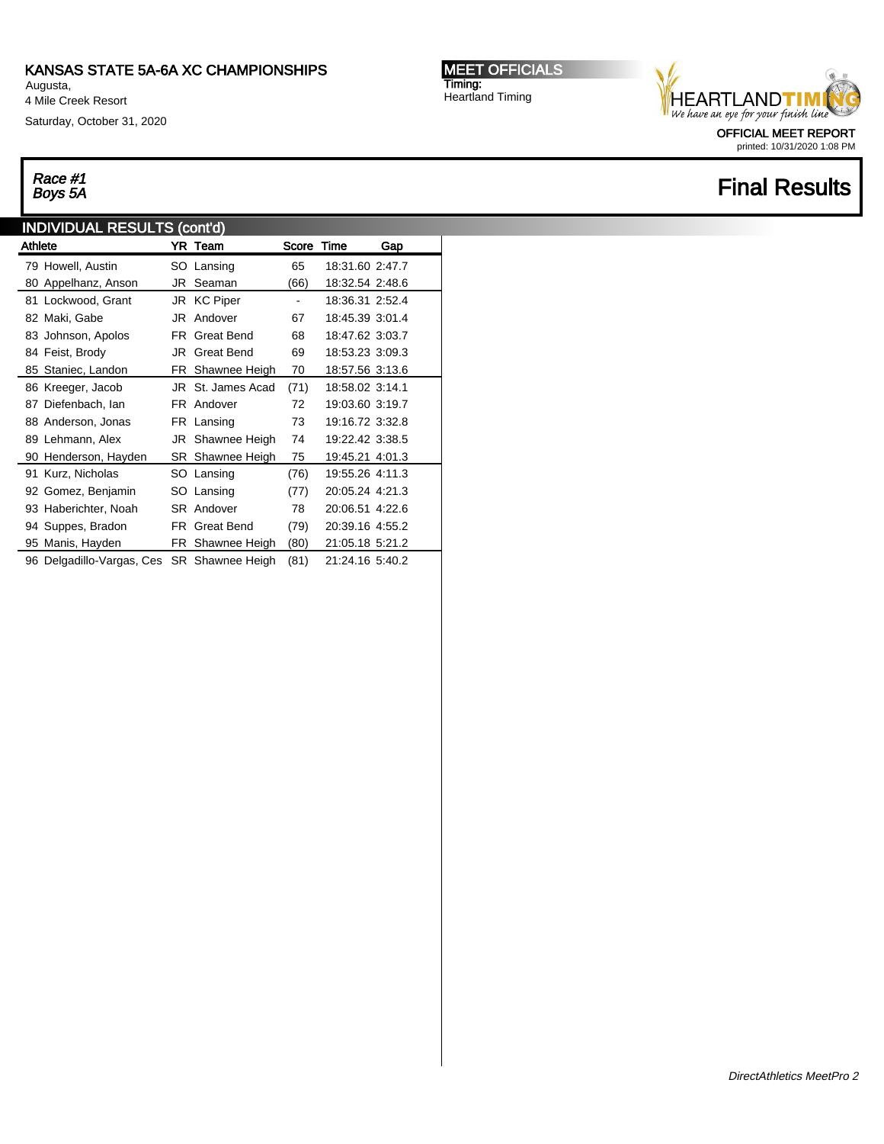Augusta, 4 Mile Creek Resort

Saturday, October 31, 2020

# Race #1<br>Boys 5A

### INDIVIDUAL RESULTS (cont'd)

| <b>Athlete</b> |                           |    | YR Team              | Score Time |                 | Gap |  |
|----------------|---------------------------|----|----------------------|------------|-----------------|-----|--|
|                | 79 Howell, Austin         |    | SO Lansing           | 65         | 18:31.60 2:47.7 |     |  |
|                | 80 Appelhanz, Anson       | JR | Seaman               | (66)       | 18:32.54 2:48.6 |     |  |
|                | 81 Lockwood, Grant        |    | JR KC Piper          |            | 18:36.31 2:52.4 |     |  |
|                | 82 Maki, Gabe             | JR | Andover              | 67         | 18:45.39 3:01.4 |     |  |
|                | 83 Johnson, Apolos        | FR | <b>Great Bend</b>    | 68         | 18:47.62 3:03.7 |     |  |
|                | 84 Feist, Brody           | JR | <b>Great Bend</b>    | 69         | 18:53.23 3:09.3 |     |  |
|                | 85 Staniec, Landon        |    | FR Shawnee Heigh     | 70         | 18:57.56 3:13.6 |     |  |
|                | 86 Kreeger, Jacob         |    | JR St. James Acad    | (71)       | 18:58.02 3:14.1 |     |  |
|                | 87 Diefenbach, Ian        |    | FR Andover           | 72         | 19:03.60 3:19.7 |     |  |
|                | 88 Anderson, Jonas        |    | FR Lansing           | 73         | 19:16.72 3:32.8 |     |  |
|                | 89 Lehmann, Alex          |    | JR Shawnee Heigh     | 74         | 19:22.42 3:38.5 |     |  |
|                | 90 Henderson, Hayden      |    | SR Shawnee Heigh     | 75         | 19:45.21 4:01.3 |     |  |
|                | 91 Kurz, Nicholas         |    | SO Lansing           | (76)       | 19:55.26 4:11.3 |     |  |
|                | 92 Gomez, Benjamin        |    | SO Lansing           | (77)       | 20:05.24 4:21.3 |     |  |
|                | 93 Haberichter, Noah      |    | SR Andover           | 78         | 20:06.51 4:22.6 |     |  |
|                | 94 Suppes, Bradon         |    | <b>FR</b> Great Bend | (79)       | 20:39.16 4:55.2 |     |  |
|                | 95 Manis, Hayden          |    | FR Shawnee Heigh     | (80)       | 21:05.18 5:21.2 |     |  |
|                | 96 Delgadillo-Vargas, Ces |    | SR Shawnee Heigh     | (81)       | 21:24.16 5:40.2 |     |  |

MEET OFFICIALS Timing: Heartland Timing



printed: 10/31/2020 1:08 PM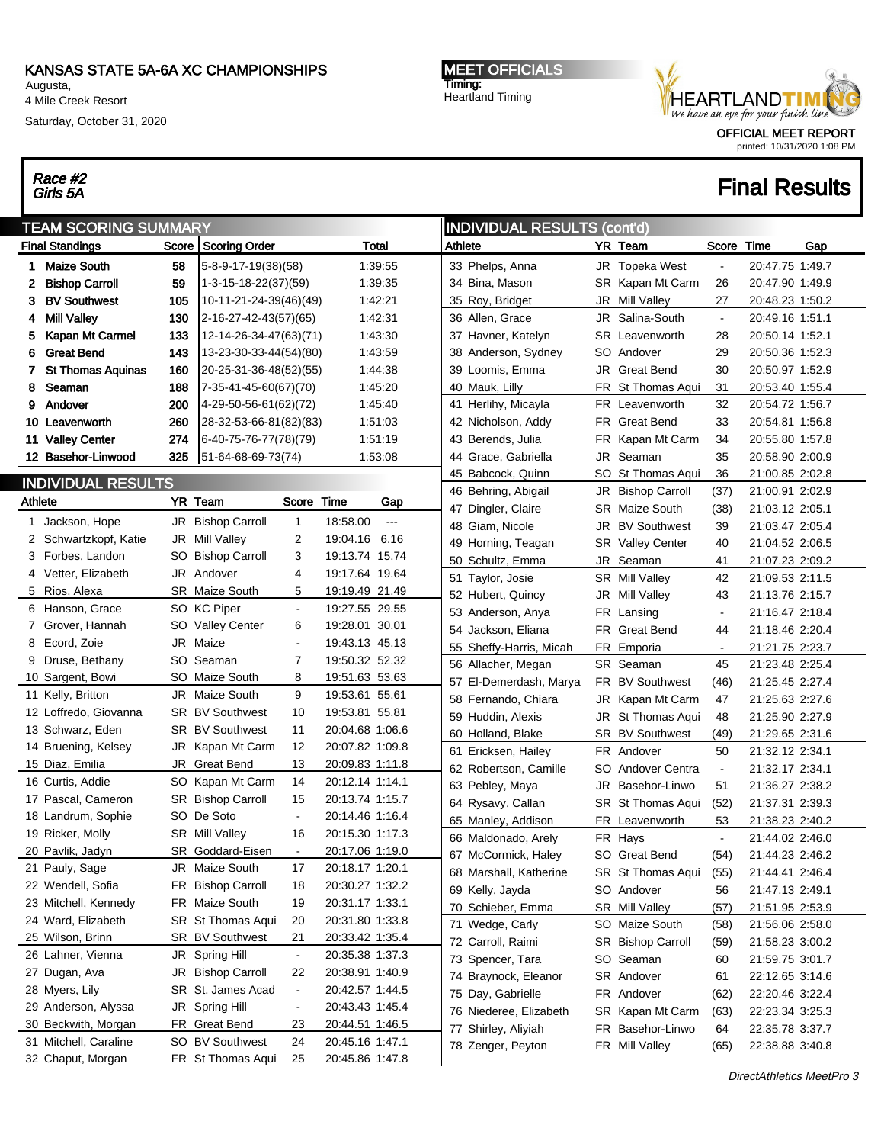Augusta, 4 Mile Creek Resort

Race #2<br>Girls 5A

Saturday, October 31, 2020

#### MEET OFFICIALS Timing: Heartland Timing



printed: 10/31/2020 1:08 PM

|         | <b>TEAM SCORING SUMMARY</b>           |         |                                     |                      |                                    |                      | <b>INDIVIDUAL RESULTS (cont'd)</b> |                         |           |                         |                |                 |     |  |
|---------|---------------------------------------|---------|-------------------------------------|----------------------|------------------------------------|----------------------|------------------------------------|-------------------------|-----------|-------------------------|----------------|-----------------|-----|--|
|         | <b>Final Standings</b>                |         | Score Scoring Order                 |                      |                                    | Total                | Athlete                            |                         |           | YR Team                 | Score          | Time            | Gap |  |
| 1       | <b>Maize South</b>                    | 58      | $5 - 8 - 9 - 17 - 19(38)(58)$       |                      |                                    | 1:39:55              |                                    | 33 Phelps, Anna         |           | JR Topeka West          | $\blacksquare$ | 20:47.75 1:49.7 |     |  |
| 2       | <b>Bishop Carroll</b>                 | 59      | 1-3-15-18-22(37)(59)                |                      |                                    | 1:39:35              |                                    | 34 Bina, Mason          |           | SR Kapan Mt Carm        | 26             | 20:47.90 1:49.9 |     |  |
| 3       | <b>BV Southwest</b>                   | 105     | $10-11-21-24-39(46)(49)$            |                      |                                    | 1:42:21              |                                    | 35 Roy, Bridget         | JR        | Mill Valley             | 27             | 20:48.23 1:50.2 |     |  |
| 4       | <b>Mill Valley</b>                    | 130     | 2-16-27-42-43(57)(65)               |                      |                                    | 1:42:31              |                                    | 36 Allen, Grace         | JR        | Salina-South            | $\blacksquare$ | 20:49.16 1:51.1 |     |  |
| 5.      | Kapan Mt Carmel                       | 133     | 12-14-26-34-47(63)(71)              |                      |                                    | 1:43:30              |                                    | 37 Havner, Katelyn      | SR        | Leavenworth             | 28             | 20:50.14 1:52.1 |     |  |
| 6       | <b>Great Bend</b>                     | 143     | 13-23-30-33-44(54)(80)              |                      |                                    | 1:43:59              |                                    | 38 Anderson, Sydney     | SO.       | Andover                 | 29             | 20:50.36 1:52.3 |     |  |
| 7       | <b>St Thomas Aquinas</b>              | 160     | 20-25-31-36-48(52)(55)              |                      |                                    | 1:44:38              |                                    | 39 Loomis, Emma         | JR        | <b>Great Bend</b>       | 30             | 20:50.97 1:52.9 |     |  |
| 8       | Seaman                                | 188     | 7-35-41-45-60(67)(70)               |                      |                                    | 1:45:20              |                                    | 40 Mauk, Lilly          | FR        | St Thomas Aqui          | 31             | 20:53.40 1:55.4 |     |  |
| 9       | Andover                               | 200     | 4-29-50-56-61(62)(72)               |                      |                                    | 1:45:40              |                                    | 41 Herlihy, Micayla     | FR.       | Leavenworth             | 32             | 20:54.72 1:56.7 |     |  |
|         | 10 Leavenworth                        | 260     | 28-32-53-66-81(82)(83)              |                      |                                    | 1:51:03              |                                    | 42 Nicholson, Addy      |           | FR Great Bend           | 33             | 20:54.81 1:56.8 |     |  |
| 11      | <b>Valley Center</b>                  | 274     | 6-40-75-76-77(78)(79)               |                      |                                    | 1:51:19              |                                    | 43 Berends, Julia       | FR        | Kapan Mt Carm           | 34             | 20:55.80 1:57.8 |     |  |
|         | 12 Basehor-Linwood                    | 325     | $151-64-68-69-73(74)$               |                      |                                    | 1:53:08              |                                    | 44 Grace, Gabriella     | JR        | Seaman                  | 35             | 20:58.90 2:00.9 |     |  |
|         | <b>INDIVIDUAL RESULTS</b>             |         |                                     |                      |                                    |                      |                                    | 45 Babcock, Quinn       | SO        | St Thomas Aqui          | 36             | 21:00.85 2:02.8 |     |  |
| Athlete |                                       | YR Team |                                     | Score                | Time                               | Gap                  |                                    | 46 Behring, Abigail     | JR        | <b>Bishop Carroll</b>   | (37)           | 21:00.91 2:02.9 |     |  |
|         |                                       |         |                                     |                      |                                    |                      |                                    | 47 Dingler, Claire      |           | <b>SR</b> Maize South   | (38)           | 21:03.12 2:05.1 |     |  |
|         | 1 Jackson, Hope                       |         | JR Bishop Carroll                   | $\mathbf{1}$         | 18:58.00                           | $\scriptstyle\cdots$ |                                    | 48 Giam, Nicole         | JR        | <b>BV Southwest</b>     | 39             | 21:03.47 2:05.4 |     |  |
|         | 2 Schwartzkopf, Katie                 |         | JR Mill Valley                      | $\overline{c}$       | 19:04.16 6.16                      |                      |                                    | 49 Horning, Teagan      |           | <b>SR</b> Valley Center | 40             | 21:04.52 2:06.5 |     |  |
|         | 3 Forbes, Landon                      |         | SO Bishop Carroll                   | 3                    | 19:13.74 15.74                     |                      |                                    | 50 Schultz, Emma        |           | JR Seaman               | 41             | 21:07.23 2:09.2 |     |  |
|         | 4 Vetter, Elizabeth                   |         | JR Andover                          | 4                    | 19:17.64 19.64                     |                      |                                    | 51 Taylor, Josie        |           | SR Mill Valley          | 42             | 21:09.53 2:11.5 |     |  |
|         | 5 Rios, Alexa                         |         | SR Maize South                      | 5                    | 19:19.49 21.49                     |                      |                                    | 52 Hubert, Quincy       |           | JR Mill Valley          | 43             | 21:13.76 2:15.7 |     |  |
|         | 6 Hanson, Grace                       |         | SO KC Piper                         | $\blacksquare$       | 19:27.55 29.55                     |                      |                                    | 53 Anderson, Anya       | FR        | Lansing                 | $\blacksquare$ | 21:16.47 2:18.4 |     |  |
|         | 7 Grover, Hannah                      |         | SO Valley Center                    | 6                    | 19:28.01 30.01                     |                      |                                    | 54 Jackson, Eliana      | FR.       | <b>Great Bend</b>       | 44             | 21:18.46 2:20.4 |     |  |
|         | 8 Ecord, Zoie                         |         | JR Maize                            | $\blacksquare$       | 19:43.13 45.13                     |                      |                                    | 55 Sheffy-Harris, Micah | FR        | Emporia                 | $\blacksquare$ | 21:21.75 2:23.7 |     |  |
|         | 9 Druse, Bethany                      |         | SO Seaman                           | 7                    | 19:50.32 52.32                     |                      |                                    | 56 Allacher, Megan      |           | SR Seaman               | 45             | 21:23.48 2:25.4 |     |  |
|         | 10 Sargent, Bowi                      |         | SO Maize South                      | 8                    | 19:51.63 53.63                     |                      |                                    | 57 El-Demerdash, Marya  |           | FR BV Southwest         | (46)           | 21:25.45 2:27.4 |     |  |
|         | 11 Kelly, Britton                     |         | JR Maize South                      | 9                    | 19:53.61 55.61                     |                      |                                    | 58 Fernando, Chiara     | JR        | Kapan Mt Carm           | 47             | 21:25.63 2:27.6 |     |  |
|         | 12 Loffredo, Giovanna                 |         | <b>SR BV Southwest</b>              | 10                   | 19:53.81 55.81                     |                      |                                    | 59 Huddin, Alexis       | JR        | St Thomas Aqui          | 48             | 21:25.90 2:27.9 |     |  |
|         | 13 Schwarz, Eden                      |         | <b>SR BV Southwest</b>              | 11                   | 20:04.68 1:06.6                    |                      |                                    | 60 Holland, Blake       |           | SR BV Southwest         | (49)           | 21:29.65 2:31.6 |     |  |
|         | 14 Bruening, Kelsey                   |         | JR Kapan Mt Carm                    | 12                   | 20:07.82 1:09.8                    |                      |                                    | 61 Ericksen, Hailey     | <b>FR</b> | Andover                 | 50             | 21:32.12 2:34.1 |     |  |
|         | 15 Diaz, Emilia                       |         | JR Great Bend                       | 13                   | 20:09.83 1:11.8                    |                      |                                    | 62 Robertson, Camille   | SO        | Andover Centra          | $\blacksquare$ | 21:32.17 2:34.1 |     |  |
|         | 16 Curtis, Addie                      |         | SO Kapan Mt Carm                    | 14                   | 20:12.14 1:14.1                    |                      |                                    | 63 Pebley, Maya         | JR        | Basehor-Linwo           | 51             | 21:36.27 2:38.2 |     |  |
|         | 17 Pascal, Cameron                    |         | SR Bishop Carroll<br>SO De Soto     | 15                   | 20:13.74 1:15.7                    |                      |                                    | 64 Rysavy, Callan       | SR        | St Thomas Aqui          | (52)           | 21:37.31 2:39.3 |     |  |
|         | 18 Landrum, Sophie                    |         |                                     | $\blacksquare$       | 20:14.46 1:16.4                    |                      |                                    | 65 Manley, Addison      |           | FR Leavenworth          | 53             | 21:38.23 2:40.2 |     |  |
|         | 19 Ricker, Molly                      |         | SR Mill Valley<br>SR Goddard-Eisen  | 16                   | 20:15.30 1:17.3<br>20:17.06 1:19.0 |                      |                                    | 66 Maldonado, Arely     | FR        | Hays                    | $\blacksquare$ | 21:44.02 2:46.0 |     |  |
|         | 20 Pavlik, Jadyn                      |         | JR Maize South                      |                      |                                    |                      |                                    | 67 McCormick, Haley     |           | SO Great Bend           | (54)           | 21:44.23 2:46.2 |     |  |
|         | 21 Pauly, Sage<br>22 Wendell, Sofia   |         |                                     | 17<br>18             | 20:18.17 1:20.1<br>20:30.27 1:32.2 |                      |                                    | 68 Marshall, Katherine  |           | SR St Thomas Aqui       | (55)           | 21:44.41 2:46.4 |     |  |
|         | 23 Mitchell, Kennedy                  |         | FR Bishop Carroll<br>FR Maize South | 19                   | 20:31.17 1:33.1                    |                      |                                    | 69 Kelly, Jayda         |           | SO Andover              | 56             | 21:47.13 2:49.1 |     |  |
|         | 24 Ward, Elizabeth                    |         | SR St Thomas Aqui                   |                      | 20:31.80 1:33.8                    |                      |                                    | 70 Schieber, Emma       |           | SR Mill Valley          | (57)           | 21:51.95 2:53.9 |     |  |
|         |                                       |         |                                     | 20                   |                                    |                      |                                    | 71 Wedge, Carly         |           | SO Maize South          | (58)           | 21:56.06 2:58.0 |     |  |
|         | 25 Wilson, Brinn<br>26 Lahner, Vienna |         | SR BV Southwest                     | 21<br>$\blacksquare$ | 20:33.42 1:35.4<br>20:35.38 1:37.3 |                      |                                    | 72 Carroll, Raimi       |           | SR Bishop Carroll       | (59)           | 21:58.23 3:00.2 |     |  |
|         | 27 Dugan, Ava                         |         | JR Spring Hill<br>JR Bishop Carroll | 22                   | 20:38.91 1:40.9                    |                      |                                    | 73 Spencer, Tara        |           | SO Seaman               | 60             | 21:59.75 3:01.7 |     |  |
|         | 28 Myers, Lily                        |         | SR St. James Acad                   | $\blacksquare$       | 20:42.57 1:44.5                    |                      |                                    | 74 Braynock, Eleanor    |           | SR Andover              | 61             | 22:12.65 3:14.6 |     |  |
|         | 29 Anderson, Alyssa                   |         | JR Spring Hill                      | $\overline{a}$       | 20:43.43 1:45.4                    |                      |                                    | 75 Day, Gabrielle       |           | FR Andover              | (62)           | 22:20.46 3:22.4 |     |  |
|         | 30 Beckwith, Morgan                   |         | FR Great Bend                       | 23                   | 20:44.51 1:46.5                    |                      |                                    | 76 Niederee, Elizabeth  |           | SR Kapan Mt Carm        | (63)           | 22:23.34 3:25.3 |     |  |
|         | 31 Mitchell, Caraline                 |         | SO BV Southwest                     | 24                   | 20:45.16 1:47.1                    |                      |                                    | 77 Shirley, Aliyiah     |           | FR Basehor-Linwo        | 64             | 22:35.78 3:37.7 |     |  |
|         | 32 Chaput, Morgan                     |         | FR St Thomas Aqui                   | 25                   | 20:45.86 1:47.8                    |                      |                                    | 78 Zenger, Peyton       |           | FR Mill Valley          | (65)           | 22:38.88 3:40.8 |     |  |
|         |                                       |         |                                     |                      |                                    |                      |                                    |                         |           |                         |                |                 |     |  |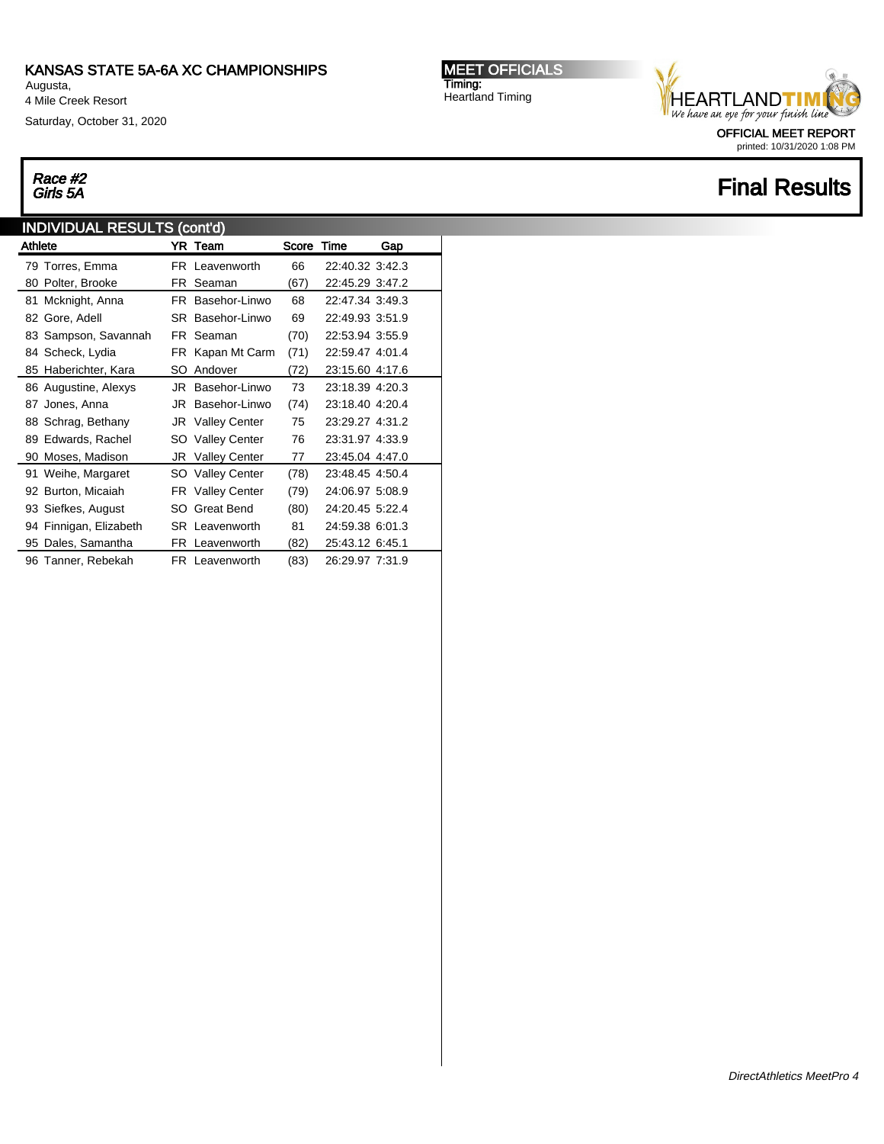Augusta, 4 Mile Creek Resort

Saturday, October 31, 2020

## Race #2<br>Girls 5A

### INDIVIDUAL RESULTS (cont'd)

| Athlete |                        |     | YR Team                 | Score Time |                 | Gap |
|---------|------------------------|-----|-------------------------|------------|-----------------|-----|
|         | 79 Torres, Emma        |     | FR Leavenworth          | 66         | 22:40.32 3:42.3 |     |
|         | 80 Polter, Brooke      |     | FR Seaman               | (67)       | 22:45.29 3:47.2 |     |
|         | 81 Mcknight, Anna      |     | FR Basehor-Linwo        | 68         | 22:47.34 3:49.3 |     |
|         | 82 Gore, Adell         |     | SR Basehor-Linwo        | 69         | 22:49.93 3:51.9 |     |
|         | 83 Sampson, Savannah   |     | FR Seaman               | (70)       | 22:53.94 3:55.9 |     |
|         | 84 Scheck, Lydia       |     | FR Kapan Mt Carm        | (71)       | 22:59.47 4:01.4 |     |
|         | 85 Haberichter, Kara   | SO  | Andover                 | (72)       | 23:15.60 4:17.6 |     |
|         | 86 Augustine, Alexys   |     | JR Basehor-Linwo        | 73         | 23:18.39 4:20.3 |     |
|         | 87 Jones, Anna         | JR  | Basehor-Linwo           | (74)       | 23:18.40 4:20.4 |     |
|         | 88 Schrag, Bethany     |     | JR Valley Center        | 75         | 23:29.27 4:31.2 |     |
|         | 89 Edwards, Rachel     |     | SO Valley Center        | 76         | 23:31.97 4:33.9 |     |
|         | 90 Moses, Madison      |     | <b>JR</b> Valley Center | 77         | 23:45.04 4:47.0 |     |
|         | 91 Weihe, Margaret     |     | SO Valley Center        | (78)       | 23:48.45 4:50.4 |     |
|         | 92 Burton, Micaiah     |     | <b>FR</b> Valley Center | (79)       | 24:06.97 5:08.9 |     |
|         | 93 Siefkes, August     |     | SO Great Bend           | (80)       | 24:20.45 5:22.4 |     |
|         | 94 Finnigan, Elizabeth |     | <b>SR</b> Leavenworth   | 81         | 24:59.38 6:01.3 |     |
|         | 95 Dales, Samantha     | FR. | Leavenworth             | (82)       | 25:43.12 6:45.1 |     |
|         | 96 Tanner, Rebekah     |     | FR Leavenworth          | (83)       | 26:29.97 7:31.9 |     |

MEET OFFICIALS Timing: Heartland Timing



printed: 10/31/2020 1:08 PM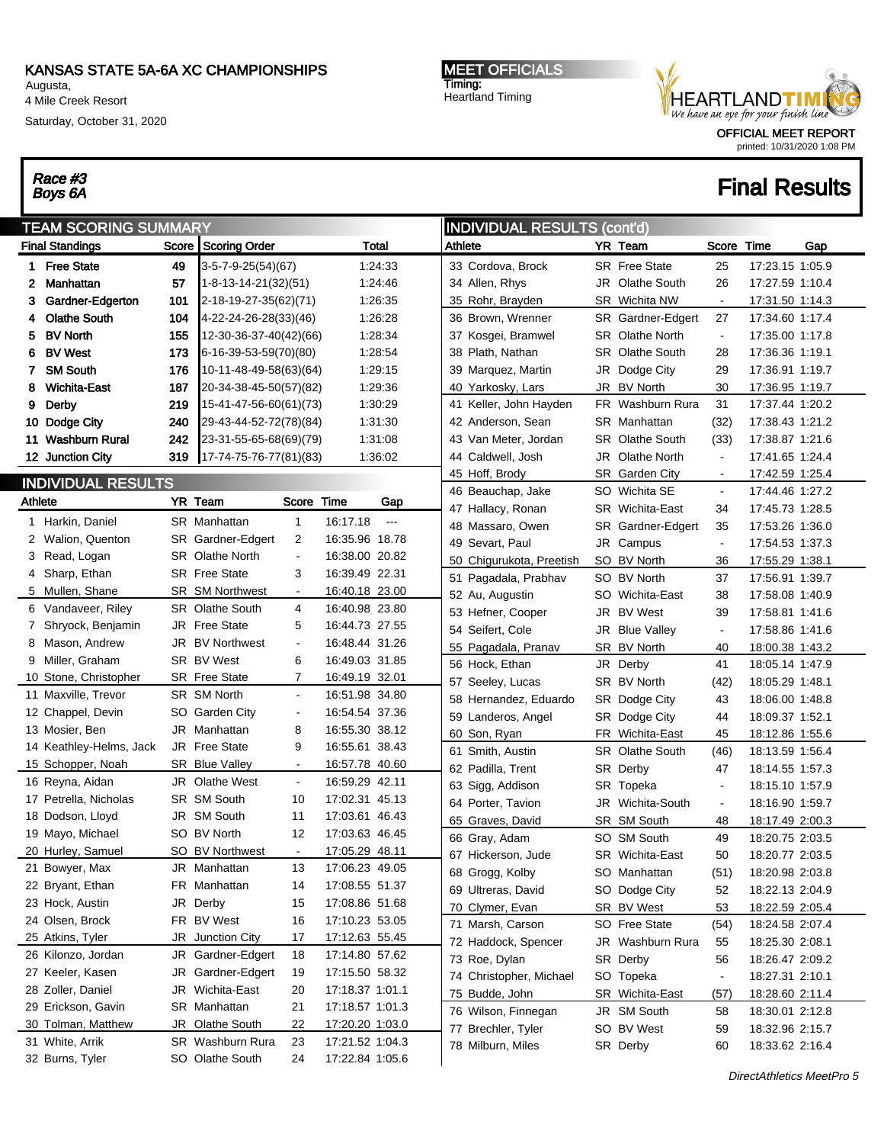Augusta, 4 Mile Creek Resort

Saturday, October 31, 2020

# Race #3<br>Boys 6A

MEET OFFICIALS Timing: Heartland Timing



printed: 10/31/2020 1:08 PM

| <b>TEAM SCORING SUMMARY</b> |                                       |     |                                     |                |                                    |          |         | <b>INDIVIDUAL RESULTS (cont'd)</b> |     |                        |                |                 |     |  |  |
|-----------------------------|---------------------------------------|-----|-------------------------------------|----------------|------------------------------------|----------|---------|------------------------------------|-----|------------------------|----------------|-----------------|-----|--|--|
|                             | <b>Final Standings</b>                |     | Score Scoring Order                 |                |                                    | Total    | Athlete |                                    |     | YR Team                | Score          | Time            | Gap |  |  |
|                             | 1 Free State                          | 49  | $3-5-7-9-25(54)(67)$                |                |                                    | 1:24:33  |         | 33 Cordova, Brock                  |     | <b>SR</b> Free State   | 25             | 17:23.15 1:05.9 |     |  |  |
| 2                           | Manhattan                             | 57  | 1-8-13-14-21(32)(51)                |                |                                    | 1:24:46  |         | 34 Allen, Rhys                     | JR  | Olathe South           | 26             | 17:27.59 1:10.4 |     |  |  |
| 3                           | Gardner-Edgerton                      | 101 | $2-18-19-27-35(62)(71)$             |                |                                    | 1:26:35  |         | 35 Rohr, Brayden                   |     | SR Wichita NW          | $\blacksquare$ | 17:31.50 1:14.3 |     |  |  |
| 4                           | <b>Olathe South</b>                   | 104 | 4-22-24-26-28(33)(46)               |                |                                    | 1:26:28  |         | 36 Brown, Wrenner                  |     | SR Gardner-Edgert      | 27             | 17:34.60 1:17.4 |     |  |  |
| 5                           | <b>BV North</b>                       | 155 | 12-30-36-37-40(42)(66)              |                |                                    | 1:28:34  |         | 37 Kosgei, Bramwel                 |     | SR Olathe North        | $\sim$         | 17:35.00 1:17.8 |     |  |  |
| 6                           | <b>BV West</b>                        | 173 | $6-16-39-53-59(70)(80)$             |                |                                    | 1:28:54  |         | 38 Plath, Nathan                   |     | <b>SR</b> Olathe South | 28             | 17:36.36 1:19.1 |     |  |  |
| 7.                          | <b>SM South</b>                       | 176 | 10-11-48-49-58(63)(64)              |                |                                    | 1:29:15  |         | 39 Marquez, Martin                 | JR  | Dodge City             | 29             | 17:36.91 1:19.7 |     |  |  |
| 8                           | <b>Wichita-East</b>                   | 187 | 20-34-38-45-50(57)(82)              |                |                                    | 1:29:36  |         | 40 Yarkosky, Lars                  | JR  | <b>BV North</b>        | 30             | 17:36.95 1:19.7 |     |  |  |
| 9                           | Derby                                 | 219 | 15-41-47-56-60(61)(73)              |                |                                    | 1:30:29  |         | 41 Keller, John Hayden             | FR. | Washburn Rura          | 31             | 17:37.44 1:20.2 |     |  |  |
|                             | 10 Dodge City                         | 240 | 29-43-44-52-72(78)(84)              |                |                                    | 1:31:30  |         | 42 Anderson, Sean                  |     | SR Manhattan           | (32)           | 17:38.43 1:21.2 |     |  |  |
|                             | 11 Washburn Rural                     | 242 | 23-31-55-65-68(69)(79)              |                |                                    | 1:31:08  |         | 43 Van Meter, Jordan               |     | <b>SR</b> Olathe South | (33)           | 17:38.87 1:21.6 |     |  |  |
|                             | 12 Junction City                      | 319 | $17 - 74 - 75 - 76 - 77(81)(83)$    |                |                                    | 1:36:02  |         | 44 Caldwell, Josh                  | JR  | Olathe North           | $\blacksquare$ | 17:41.65 1:24.4 |     |  |  |
|                             | <b>INDIVIDUAL RESULTS</b>             |     |                                     |                |                                    |          |         | 45 Hoff, Brody                     |     | SR Garden City         | $\sim$         | 17:42.59 1:25.4 |     |  |  |
|                             |                                       |     |                                     |                |                                    |          |         | 46 Beauchap, Jake                  |     | SO Wichita SE          | $\blacksquare$ | 17:44.46 1:27.2 |     |  |  |
| Athlete                     |                                       |     | YR Team                             | Score          | Time                               | Gap      |         | 47 Hallacy, Ronan                  |     | SR Wichita-East        | 34             | 17:45.73 1:28.5 |     |  |  |
|                             | 1 Harkin, Daniel                      |     | SR Manhattan                        | $\mathbf{1}$   | 16:17.18                           | $\ldots$ |         | 48 Massaro, Owen                   |     | SR Gardner-Edgert      | 35             | 17:53.26 1:36.0 |     |  |  |
| 2                           | Walion, Quenton                       |     | SR Gardner-Edgert                   | 2              | 16:35.96 18.78                     |          |         | 49 Sevart, Paul                    | JR  | Campus                 | $\blacksquare$ | 17:54.53 1:37.3 |     |  |  |
|                             | 3 Read, Logan                         |     | <b>SR</b> Olathe North              | $\blacksquare$ | 16:38.00 20.82                     |          |         | 50 Chigurukota, Preetish           | SO. | <b>BV North</b>        | 36             | 17:55.29 1:38.1 |     |  |  |
|                             | 4 Sharp, Ethan                        |     | SR Free State                       | 3              | 16:39.49 22.31                     |          |         | 51 Pagadala, Prabhav               | SO  | <b>BV North</b>        | 37             | 17:56.91 1:39.7 |     |  |  |
|                             | 5 Mullen, Shane                       |     | SR SM Northwest                     |                | 16:40.18 23.00                     |          |         | 52 Au, Augustin                    |     | SO Wichita-East        | 38             | 17:58.08 1:40.9 |     |  |  |
|                             | 6 Vandaveer, Riley                    |     | <b>SR</b> Olathe South              | 4              | 16:40.98 23.80                     |          |         | 53 Hefner, Cooper                  | JR  | <b>BV West</b>         | 39             | 17:58.81 1:41.6 |     |  |  |
|                             | 7 Shryock, Benjamin                   |     | JR Free State                       | 5              | 16:44.73 27.55                     |          |         | 54 Seifert, Cole                   | JR  | <b>Blue Valley</b>     | $\blacksquare$ | 17:58.86 1:41.6 |     |  |  |
|                             | 8 Mason, Andrew                       |     | JR BV Northwest                     | $\blacksquare$ | 16:48.44 31.26                     |          |         | 55 Pagadala, Pranav                |     | SR_BV North            | 40             | 18:00.38 1:43.2 |     |  |  |
|                             | 9 Miller, Graham                      |     | SR BV West                          | 6              | 16:49.03 31.85                     |          |         | 56 Hock, Ethan                     | JR  | Derby                  | 41             | 18:05.14 1:47.9 |     |  |  |
|                             | 10 Stone, Christopher                 |     | SR Free State                       | 7              | 16:49.19 32.01                     |          |         | 57 Seeley, Lucas                   |     | SR BV North            | (42)           | 18:05.29 1:48.1 |     |  |  |
|                             | 11 Maxville, Trevor                   |     | SR SM North                         | $\blacksquare$ | 16:51.98 34.80                     |          |         | 58 Hernandez, Eduardo              |     | SR Dodge City          | 43             | 18:06.00 1:48.8 |     |  |  |
|                             | 12 Chappel, Devin                     |     | SO Garden City                      | $\blacksquare$ | 16:54.54 37.36                     |          |         | 59 Landeros, Angel                 |     | SR Dodge City          | 44             | 18:09.37 1:52.1 |     |  |  |
|                             | 13 Mosier, Ben                        |     | JR Manhattan                        | 8              | 16:55.30 38.12                     |          |         | 60 Son, Ryan                       |     | FR Wichita-East        | 45             | 18:12.86 1:55.6 |     |  |  |
|                             | 14 Keathley-Helms, Jack               |     | JR Free State                       | 9              | 16:55.61 38.43                     |          |         | 61 Smith, Austin                   | SR  | Olathe South           | (46)           | 18:13.59 1:56.4 |     |  |  |
|                             | 15 Schopper, Noah                     |     | <b>SR Blue Valley</b>               |                | 16:57.78 40.60                     |          |         | 62 Padilla, Trent                  |     | SR Derby               | 47             | 18:14.55 1:57.3 |     |  |  |
|                             | 16 Reyna, Aidan                       |     | JR Olathe West                      | $\blacksquare$ | 16:59.29 42.11                     |          |         | 63 Sigg, Addison                   | SR  | Topeka                 | $\blacksquare$ | 18:15.10 1:57.9 |     |  |  |
|                             | 17 Petrella, Nicholas                 |     | SR SM South                         | 10             | 17:02.31 45.13                     |          |         | 64 Porter, Tavion                  | JR  | Wichita-South          | $\blacksquare$ | 18:16.90 1:59.7 |     |  |  |
|                             | 18 Dodson, Lloyd                      |     | JR SM South                         | 11             | 17:03.61 46.43                     |          |         | 65 Graves, David                   |     | SR SM South            | 48             | 18:17.49 2:00.3 |     |  |  |
|                             | 19 Mayo, Michael                      |     | SO BV North                         | 12             | 17:03.63 46.45                     |          |         | 66 Gray, Adam                      | SO  | <b>SM South</b>        | 49             | 18:20.75 2:03.5 |     |  |  |
|                             | 20 Hurley, Samuel                     |     | SO BV Northwest                     |                | 17:05.29 48.11                     |          |         | 67 Hickerson, Jude                 |     | SR Wichita-East        | 50             | 18:20.77 2:03.5 |     |  |  |
|                             | 21 Bowyer, Max                        |     | JR Manhattan                        | 13             | 17:06.23 49.05                     |          |         | 68 Grogg, Kolby                    |     | SO Manhattan           | (51)           | 18:20.98 2:03.8 |     |  |  |
|                             | 22 Bryant, Ethan                      |     | FR Manhattan                        | 14             | 17:08.55 51.37                     |          |         | 69 Ultreras, David                 |     | SO Dodge City          | 52             | 18:22.13 2:04.9 |     |  |  |
|                             | 23 Hock, Austin                       |     | JR Derby                            | 15             | 17:08.86 51.68                     |          |         | 70 Clymer, Evan                    |     | SR BV West             | 53             | 18:22.59 2:05.4 |     |  |  |
|                             | 24 Olsen, Brock                       |     | FR BV West                          | 16             | 17:10.23 53.05                     |          |         | 71 Marsh, Carson                   |     | SO Free State          | (54)           | 18:24.58 2:07.4 |     |  |  |
|                             | 25 Atkins, Tyler                      |     | JR Junction City                    | 17             | 17:12.63 55.45                     |          |         | 72 Haddock, Spencer                | JR  | Washburn Rura          | 55             | 18:25.30 2:08.1 |     |  |  |
|                             | 26 Kilonzo, Jordan                    |     | JR Gardner-Edgert                   | 18             | 17:14.80 57.62                     |          |         | 73 Roe, Dylan                      |     | SR Derby               | 56             | 18:26.47 2:09.2 |     |  |  |
|                             | 27 Keeler, Kasen                      |     | JR Gardner-Edgert                   | 19             | 17:15.50 58.32                     |          |         | 74 Christopher, Michael            |     | SO Topeka              | $\blacksquare$ | 18:27.31 2:10.1 |     |  |  |
|                             | 28 Zoller, Daniel                     |     | JR Wichita-East                     | 20             | 17:18.37 1:01.1                    |          |         | 75 Budde, John                     |     | SR Wichita-East        | (57)           | 18:28.60 2:11.4 |     |  |  |
|                             | 29 Erickson, Gavin                    |     | SR Manhattan                        | 21             | 17:18.57 1:01.3                    |          |         | 76 Wilson, Finnegan                |     | JR SM South            | 58             | 18:30.01 2:12.8 |     |  |  |
|                             | 30 Tolman, Matthew<br>31 White, Arrik |     | JR Olathe South<br>SR Washburn Rura | 22<br>23       | 17:20.20 1:03.0<br>17:21.52 1:04.3 |          |         | 77 Brechler, Tyler                 | SO  | <b>BV West</b>         | 59             | 18:32.96 2:15.7 |     |  |  |
|                             | 32 Burns, Tyler                       |     | SO Olathe South                     | 24             | 17:22.84 1:05.6                    |          |         | 78 Milburn, Miles                  |     | SR Derby               | 60             | 18:33.62 2:16.4 |     |  |  |
|                             |                                       |     |                                     |                |                                    |          |         |                                    |     |                        |                |                 |     |  |  |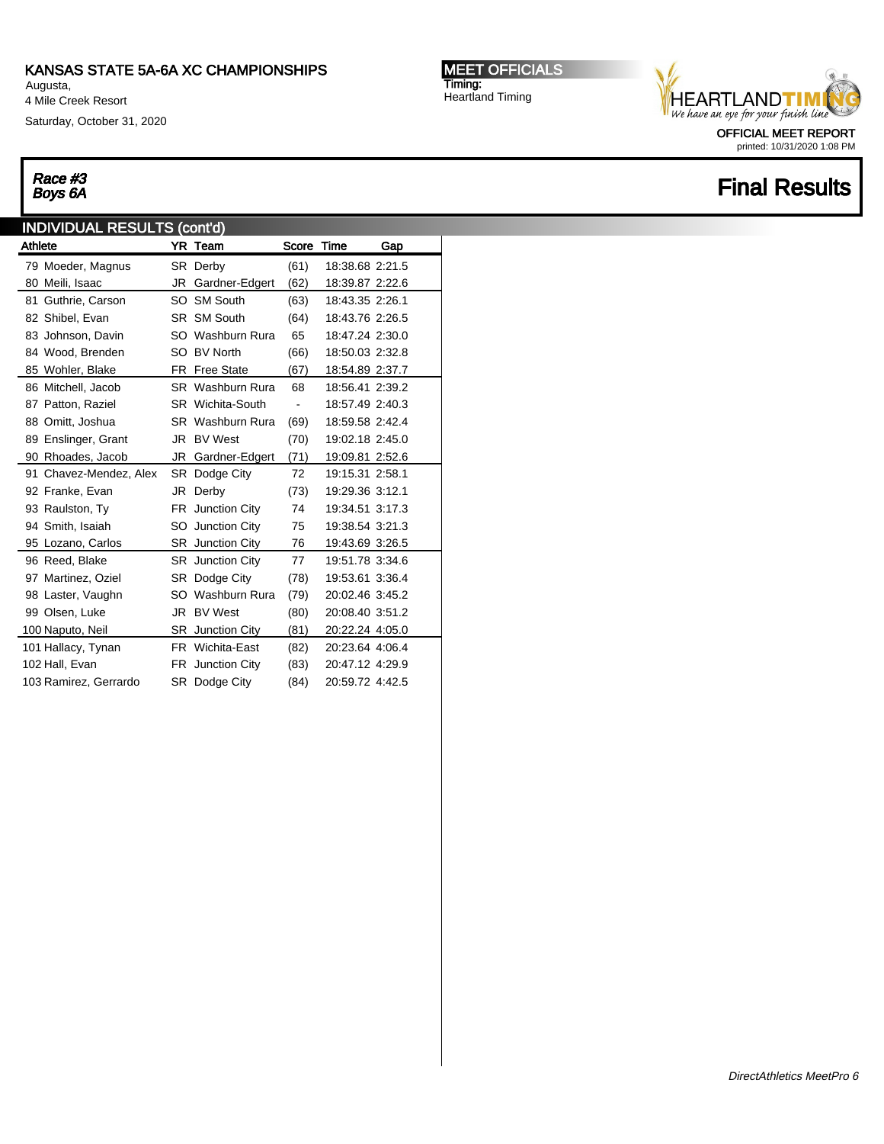Augusta, 4 Mile Creek Resort

Saturday, October 31, 2020

#### MEET OFFICIALS Timing: Heartland Timing



printed: 10/31/2020 1:08 PM

### **Final Results**

# Race #3<br>Boys 6A

### INDIVIDUAL RESULTS (cont'd) Athlete **YR Team** Score Time Gap

|    | 79 Moeder, Magnus      |    | SR Derby                | (61) | 18:38.68 2:21.5 |
|----|------------------------|----|-------------------------|------|-----------------|
|    | 80 Meili, Isaac        | JR | Gardner-Edgert          | (62) | 18:39.87 2:22.6 |
| 81 | Guthrie, Carson        |    | SO SM South             | (63) | 18:43.35 2:26.1 |
|    | 82 Shibel, Evan        |    | SR SM South             | (64) | 18:43.76 2:26.5 |
|    | 83 Johnson, Davin      |    | SO Washburn Rura        | 65   | 18:47.24 2:30.0 |
|    | 84 Wood, Brenden       |    | SO BV North             | (66) | 18:50.03 2:32.8 |
|    | 85 Wohler, Blake       |    | FR Free State           | (67) | 18:54.89 2:37.7 |
|    | 86 Mitchell, Jacob     |    | <b>SR</b> Washburn Rura | 68   | 18:56.41 2:39.2 |
|    | 87 Patton, Raziel      |    | <b>SR</b> Wichita-South | ٠    | 18:57.49 2:40.3 |
|    | 88 Omitt, Joshua       |    | <b>SR</b> Washburn Rura | (69) | 18:59.58 2:42.4 |
|    | 89 Enslinger, Grant    |    | JR BV West              | (70) | 19:02.18 2:45.0 |
|    | 90 Rhoades, Jacob      |    | JR Gardner-Edgert       | (71) | 19:09.81 2:52.6 |
|    | 91 Chavez-Mendez, Alex |    | SR Dodge City           | 72   | 19:15.31 2:58.1 |
|    | 92 Franke, Evan        | JR | Derby                   | (73) | 19:29.36 3:12.1 |
|    | 93 Raulston, Ty        | FR | Junction City           | 74   | 19:34.51 3:17.3 |
|    | 94 Smith, Isaiah       |    | SO Junction City        | 75   | 19:38.54 3:21.3 |
|    | 95 Lozano, Carlos      |    | <b>SR</b> Junction City | 76   | 19:43.69 3:26.5 |
|    | 96 Reed, Blake         |    | <b>SR</b> Junction City | 77   | 19:51.78 3:34.6 |
|    | 97 Martinez, Oziel     |    | SR Dodge City           | (78) | 19:53.61 3:36.4 |
|    | 98 Laster, Vaughn      |    | SO Washburn Rura        | (79) | 20:02.46 3:45.2 |
|    | 99 Olsen, Luke         |    | JR BV West              | (80) | 20:08.40 3:51.2 |
|    | 100 Naputo, Neil       |    | <b>SR</b> Junction City | (81) | 20:22.24 4:05.0 |
|    | 101 Hallacy, Tynan     |    | FR Wichita-East         | (82) | 20:23.64 4:06.4 |
|    | 102 Hall, Evan         |    | FR Junction City        | (83) | 20:47.12 4:29.9 |
|    | 103 Ramirez, Gerrardo  |    | SR Dodge City           | (84) | 20:59.72 4:42.5 |
|    |                        |    |                         |      |                 |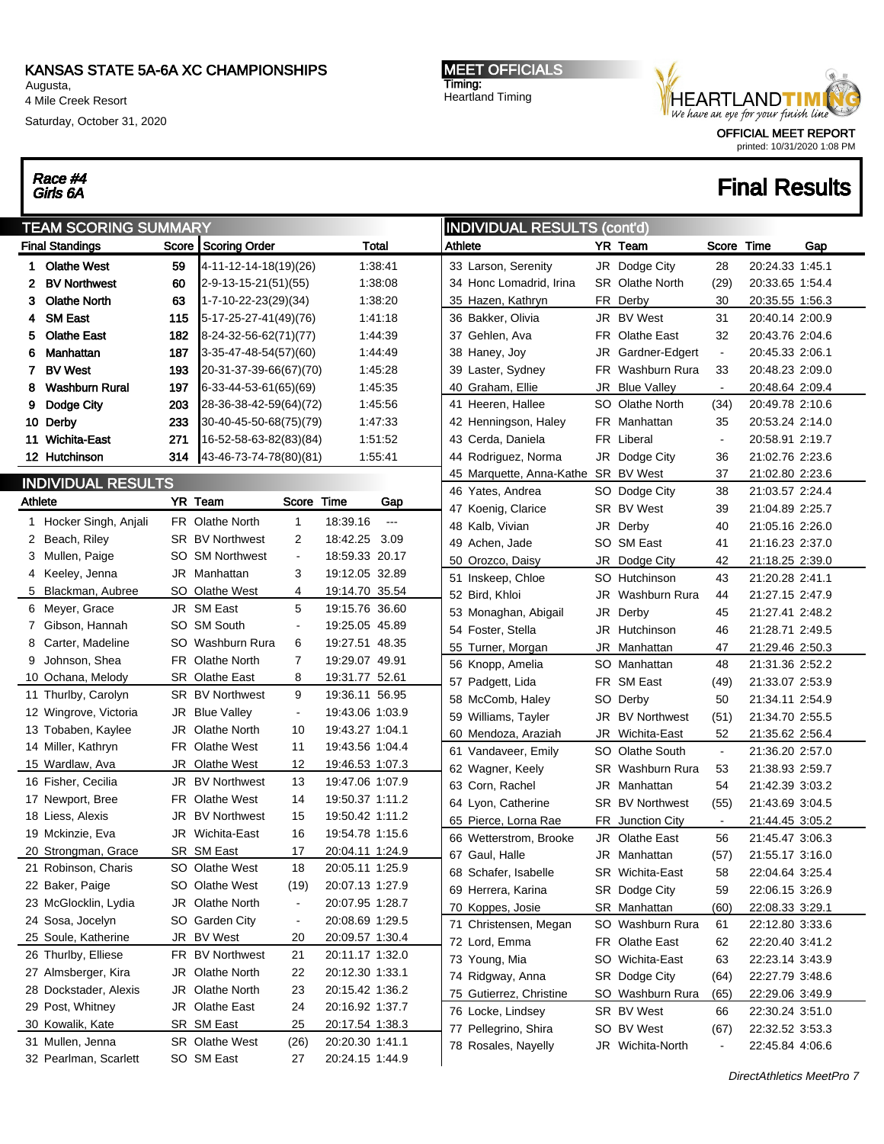Augusta, 4 Mile Creek Resort

Race #4<br>Girls 6A

Saturday, October 31, 2020

#### MEET OFFICIALS Timing: Heartland Timing

#### OFFICIAL MEET REPORT printed: 10/31/2020 1:08 PM

|         | <b>INDIVIDUAL RESULTS (cont'd)</b><br><b>TEAM SCORING SUMMARY</b> |     |                         |                          |                 |               |         |                                     |     |                         |                |                 |     |
|---------|-------------------------------------------------------------------|-----|-------------------------|--------------------------|-----------------|---------------|---------|-------------------------------------|-----|-------------------------|----------------|-----------------|-----|
|         | <b>Final Standings</b>                                            |     | Score   Scoring Order   |                          |                 | <b>Total</b>  | Athlete |                                     |     | YR Team                 | Score          | Time            | Gap |
|         | 1 Olathe West                                                     | 59  | 4-11-12-14-18(19)(26)   |                          |                 | 1:38:41       |         | 33 Larson, Serenity                 |     | JR Dodge City           | 28             | 20:24.33 1:45.1 |     |
| 2       | <b>BV Northwest</b>                                               | 60  | 2-9-13-15-21(51)(55)    |                          |                 | 1:38:08       |         | 34 Honc Lomadrid, Irina             |     | <b>SR</b> Olathe North  | (29)           | 20:33.65 1:54.4 |     |
| 3.      | <b>Olathe North</b>                                               | 63  | 1-7-10-22-23(29)(34)    |                          |                 | 1:38:20       |         | 35 Hazen, Kathryn                   |     | FR Derby                | 30             | 20:35.55 1:56.3 |     |
| 4       | <b>SM East</b>                                                    | 115 | 5-17-25-27-41(49)(76)   |                          |                 | 1:41:18       |         | 36 Bakker, Olivia                   |     | JR BV West              | 31             | 20:40.14 2:00.9 |     |
| 5.      | <b>Olathe East</b>                                                | 182 | 8-24-32-56-62(71)(77)   |                          |                 | 1:44:39       |         | 37 Gehlen, Ava                      |     | FR Olathe East          | 32             | 20:43.76 2:04.6 |     |
| 6       | Manhattan                                                         | 187 | 3-35-47-48-54(57)(60)   |                          |                 | 1:44:49       |         | 38 Haney, Joy                       | JR  | Gardner-Edgert          | $\blacksquare$ | 20:45.33 2:06.1 |     |
|         | 7 BV West                                                         | 193 | 20-31-37-39-66(67)(70)  |                          |                 | 1:45:28       |         | 39 Laster, Sydney                   | FR  | Washburn Rura           | 33             | 20:48.23 2:09.0 |     |
| 8       | <b>Washburn Rural</b>                                             | 197 | $6-33-44-53-61(65)(69)$ |                          |                 | 1:45:35       |         | 40 Graham, Ellie                    | JR  | <b>Blue Valley</b>      | $\blacksquare$ | 20:48.64 2:09.4 |     |
| 9       | Dodge City                                                        | 203 | 28-36-38-42-59(64)(72)  |                          |                 | 1:45:56       |         | 41 Heeren, Hallee                   | SO. | Olathe North            | (34)           | 20:49.78 2:10.6 |     |
|         | 10 Derby                                                          | 233 | 30-40-45-50-68(75)(79)  |                          |                 | 1:47:33       |         | 42 Henningson, Haley                |     | FR Manhattan            | 35             | 20:53.24 2:14.0 |     |
|         | 11 Wichita-East                                                   | 271 | 16-52-58-63-82(83)(84)  |                          |                 | 1:51:52       |         | 43 Cerda, Daniela                   |     | FR Liberal              | $\blacksquare$ | 20:58.91 2:19.7 |     |
|         | 12 Hutchinson                                                     | 314 | 43-46-73-74-78(80)(81)  |                          |                 | 1:55:41       |         | 44 Rodriguez, Norma                 | JR  | Dodge City              | 36             | 21:02.76 2:23.6 |     |
|         |                                                                   |     |                         |                          |                 |               |         | 45 Marquette, Anna-Kathe SR BV West |     |                         | 37             | 21:02.80 2:23.6 |     |
|         | <b>INDIVIDUAL RESULTS</b>                                         |     |                         |                          |                 |               |         | 46 Yates, Andrea                    |     | SO Dodge City           | 38             | 21:03.57 2:24.4 |     |
| Athlete |                                                                   |     | YR Team                 | Score                    | Time            | Gap           |         | 47 Koenig, Clarice                  |     | SR BV West              | 39             | 21:04.89 2:25.7 |     |
|         | 1 Hocker Singh, Anjali                                            |     | FR Olathe North         | $\mathbf{1}$             | 18:39.16        | $\sim$ $\sim$ |         | 48 Kalb, Vivian                     |     | JR Derby                | 40             | 21:05.16 2:26.0 |     |
|         | 2 Beach, Riley                                                    |     | <b>SR BV Northwest</b>  | 2                        | 18:42.25        | 3.09          |         | 49 Achen, Jade                      |     | SO SM East              | 41             | 21:16.23 2:37.0 |     |
|         | 3 Mullen, Paige                                                   |     | SO SM Northwest         | $\blacksquare$           | 18:59.33 20.17  |               |         | 50 Orozco, Daisy                    | JR  | Dodge City              | 42             | 21:18.25 2:39.0 |     |
|         | 4 Keeley, Jenna                                                   |     | JR Manhattan            | 3                        | 19:12.05 32.89  |               |         | 51 Inskeep, Chloe                   |     | SO Hutchinson           | 43             | 21:20.28 2:41.1 |     |
|         | 5 Blackman, Aubree                                                |     | SO Olathe West          | 4                        | 19:14.70 35.54  |               |         | 52 Bird, Khloi                      | JR  | Washburn Rura           | 44             | 21:27.15 2:47.9 |     |
|         | 6 Meyer, Grace                                                    |     | JR SM East              | 5                        | 19:15.76 36.60  |               |         | 53 Monaghan, Abigail                | JR  | Derby                   | 45             | 21:27.41 2:48.2 |     |
|         | 7 Gibson, Hannah                                                  |     | SO SM South             | $\blacksquare$           | 19:25.05 45.89  |               |         | 54 Foster, Stella                   | JR  | Hutchinson              | 46             | 21:28.71 2:49.5 |     |
|         | 8 Carter, Madeline                                                |     | SO Washburn Rura        | 6                        | 19:27.51 48.35  |               |         | 55 Turner, Morgan                   | JR  | Manhattan               | 47             | 21:29.46 2:50.3 |     |
| 9       | Johnson, Shea                                                     |     | FR Olathe North         | 7                        | 19:29.07 49.91  |               |         | 56 Knopp, Amelia                    |     | SO Manhattan            | 48             | 21:31.36 2:52.2 |     |
|         | 10 Ochana, Melody                                                 |     | <b>SR</b> Olathe East   | 8                        | 19:31.77 52.61  |               |         | 57 Padgett, Lida                    |     | FR SM East              | (49)           | 21:33.07 2:53.9 |     |
|         | 11 Thurlby, Carolyn                                               |     | <b>SR BV Northwest</b>  | 9                        | 19:36.11 56.95  |               |         | 58 McComb, Haley                    | SO  | Derby                   | 50             | 21:34.11 2:54.9 |     |
|         | 12 Wingrove, Victoria                                             |     | JR Blue Valley          | $\blacksquare$           | 19:43.06 1:03.9 |               |         | 59 Williams, Tayler                 | JR  | <b>BV Northwest</b>     | (51)           | 21:34.70 2:55.5 |     |
|         | 13 Tobaben, Kaylee                                                |     | <b>JR</b> Olathe North  | 10                       | 19:43.27 1:04.1 |               |         | 60 Mendoza, Araziah                 | JR  | Wichita-East            | 52             | 21:35.62 2:56.4 |     |
|         | 14 Miller, Kathryn                                                |     | FR Olathe West          | 11                       | 19:43.56 1:04.4 |               |         | 61 Vandaveer, Emily                 | SO. | Olathe South            | $\blacksquare$ | 21:36.20 2:57.0 |     |
|         | 15 Wardlaw, Ava                                                   |     | <b>JR</b> Olathe West   | 12                       | 19:46.53 1:07.3 |               |         | 62 Wagner, Keely                    |     | SR Washburn Rura        | 53             | 21:38.93 2:59.7 |     |
|         | 16 Fisher, Cecilia                                                |     | <b>JR BV Northwest</b>  | 13                       | 19:47.06 1:07.9 |               |         | 63 Corn, Rachel                     | JR  | Manhattan               | 54             | 21:42.39 3:03.2 |     |
|         | 17 Newport, Bree                                                  |     | FR Olathe West          | 14                       | 19:50.37 1:11.2 |               |         | 64 Lyon, Catherine                  |     | <b>SR BV Northwest</b>  | (55)           | 21:43.69 3:04.5 |     |
|         | 18 Liess, Alexis                                                  |     | <b>JR BV Northwest</b>  | 15                       | 19:50.42 1:11.2 |               |         | 65 Pierce, Lorna Rae                |     | <b>FR</b> Junction City | $\sim$         | 21:44.45 3:05.2 |     |
|         | 19 Mckinzie, Eva                                                  |     | JR Wichita-East         | 16                       | 19:54.78 1:15.6 |               |         | 66 Wetterstrom, Brooke              |     | JR Olathe East          | 56             | 21:45.47 3:06.3 |     |
|         | 20 Strongman, Grace                                               |     | SR SM East              | 17                       | 20:04.11 1:24.9 |               |         | 67 Gaul, Halle                      |     | JR Manhattan            | (57)           | 21:55.17 3:16.0 |     |
|         | 21 Robinson, Charis                                               |     | SO Olathe West          | 18                       | 20:05.11 1:25.9 |               |         | 68 Schafer, Isabelle                |     | SR Wichita-East         | 58             | 22:04.64 3:25.4 |     |
|         | 22 Baker, Paige                                                   |     | SO Olathe West          | (19)                     | 20:07.13 1:27.9 |               |         | 69 Herrera, Karina                  |     | SR Dodge City           | 59             | 22:06.15 3:26.9 |     |
|         | 23 McGlocklin, Lydia                                              |     | JR Olathe North         | $\blacksquare$           | 20:07.95 1:28.7 |               |         | 70 Koppes, Josie                    |     | SR Manhattan            | (60)           | 22:08.33 3:29.1 |     |
|         | 24 Sosa, Jocelyn                                                  |     | SO Garden City          | $\overline{\phantom{a}}$ | 20:08.69 1:29.5 |               |         | 71 Christensen, Megan               |     | SO Washburn Rura        | 61             | 22:12.80 3:33.6 |     |
|         | 25 Soule, Katherine                                               |     | JR BV West              | 20                       | 20:09.57 1:30.4 |               |         | 72 Lord, Emma                       |     | FR Olathe East          | 62             | 22:20.40 3:41.2 |     |
|         | 26 Thurlby, Elliese                                               |     | FR BV Northwest         | 21                       | 20:11.17 1:32.0 |               |         | 73 Young, Mia                       |     | SO Wichita-East         | 63             | 22:23.14 3:43.9 |     |
|         | 27 Almsberger, Kira                                               |     | JR Olathe North         | 22                       | 20:12.30 1:33.1 |               |         | 74 Ridgway, Anna                    |     | SR Dodge City           | (64)           | 22:27.79 3:48.6 |     |
|         | 28 Dockstader, Alexis                                             |     | JR Olathe North         | 23                       | 20:15.42 1:36.2 |               |         | 75 Gutierrez, Christine             |     | SO Washburn Rura        | (65)           | 22:29.06 3:49.9 |     |
|         | 29 Post, Whitney                                                  |     | JR Olathe East          | 24                       | 20:16.92 1:37.7 |               |         | 76 Locke, Lindsey                   |     | SR BV West              | 66             | 22:30.24 3:51.0 |     |
|         | 30 Kowalik, Kate                                                  |     | SR SM East              | 25                       | 20:17.54 1:38.3 |               |         | 77 Pellegrino, Shira                |     | SO BV West              | (67)           | 22:32.52 3:53.3 |     |
|         | 31 Mullen, Jenna                                                  |     | SR Olathe West          | (26)                     | 20:20.30 1:41.1 |               |         | 78 Rosales, Nayelly                 |     | JR Wichita-North        | $\blacksquare$ | 22:45.84 4:06.6 |     |
|         | 32 Pearlman, Scarlett                                             |     | SO SM East              | 27                       | 20:24.15 1:44.9 |               |         |                                     |     |                         |                |                 |     |